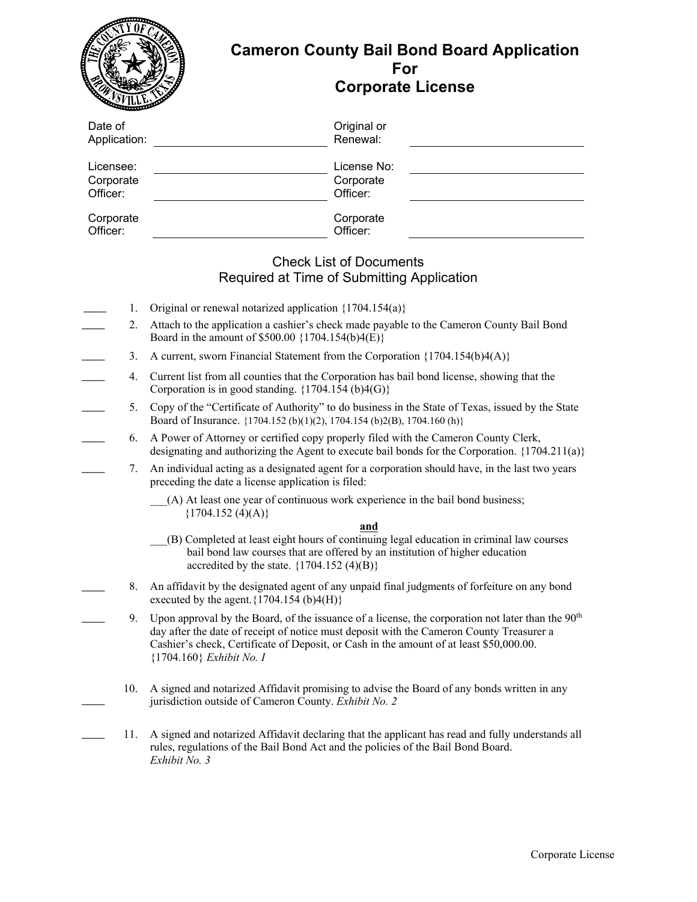|                                    |          | <b>Cameron County Bail Bond Board Application</b><br>For<br><b>Corporate License</b>                                                                                                                                                                                                                                                      |
|------------------------------------|----------|-------------------------------------------------------------------------------------------------------------------------------------------------------------------------------------------------------------------------------------------------------------------------------------------------------------------------------------------|
| Date of<br>Application:            |          | Original or<br>Renewal:                                                                                                                                                                                                                                                                                                                   |
| Licensee:<br>Corporate<br>Officer: |          | License No:<br>Corporate<br>Officer:                                                                                                                                                                                                                                                                                                      |
| Corporate<br>Officer:              |          | Corporate<br>Officer:                                                                                                                                                                                                                                                                                                                     |
|                                    |          | <b>Check List of Documents</b><br>Required at Time of Submitting Application                                                                                                                                                                                                                                                              |
|                                    | 1.<br>2. | Original or renewal notarized application ${1704.154(a)}$<br>Attach to the application a cashier's check made payable to the Cameron County Bail Bond<br>Board in the amount of \$500.00 {1704.154(b)4(E)}                                                                                                                                |
|                                    | 3.       | A current, sworn Financial Statement from the Corporation $\{1704.154(b)4(A)\}$                                                                                                                                                                                                                                                           |
|                                    | 4.       | Current list from all counties that the Corporation has bail bond license, showing that the<br>Corporation is in good standing. ${1704.154 \text{ (b)}4(G)}$                                                                                                                                                                              |
|                                    | 5.       | Copy of the "Certificate of Authority" to do business in the State of Texas, issued by the State<br>Board of Insurance. {1704.152 (b)(1)(2), 1704.154 (b)2(B), 1704.160 (h)}                                                                                                                                                              |
|                                    | 6.       | A Power of Attorney or certified copy properly filed with the Cameron County Clerk,<br>designating and authorizing the Agent to execute bail bonds for the Corporation. $\{1704.211(a)\}$                                                                                                                                                 |
|                                    | 7.       | An individual acting as a designated agent for a corporation should have, in the last two years<br>preceding the date a license application is filed:                                                                                                                                                                                     |
|                                    |          | (A) At least one year of continuous work experience in the bail bond business;<br>${1704.152 (4)(A)}$                                                                                                                                                                                                                                     |
|                                    |          | and<br>(B) Completed at least eight hours of continuing legal education in criminal law courses<br>bail bond law courses that are offered by an institution of higher education<br>accredited by the state. $\{1704.152 \text{ (4)}(B)\}$                                                                                                 |
|                                    | 8.       | An affidavit by the designated agent of any unpaid final judgments of forfeiture on any bond<br>executed by the agent. $\{1704.154 \text{ (b)}4\text{ (H)}\}$                                                                                                                                                                             |
|                                    | 9.       | Upon approval by the Board, of the issuance of a license, the corporation not later than the 90 <sup>th</sup><br>day after the date of receipt of notice must deposit with the Cameron County Treasurer a<br>Cashier's check, Certificate of Deposit, or Cash in the amount of at least \$50,000.00.<br>${1704.160}$ <i>Exhibit No. I</i> |

10. A signed and notarized Affidavit promising to advise the Board of any bonds written in any jurisdiction outside of Cameron County. *Exhibit No. 2*

 $\mathcal{L}$ 

11. A signed and notarized Affidavit declaring that the applicant has read and fully understands all rules, regulations of the Bail Bond Act and the policies of the Bail Bond Board. *Exhibit No. 3*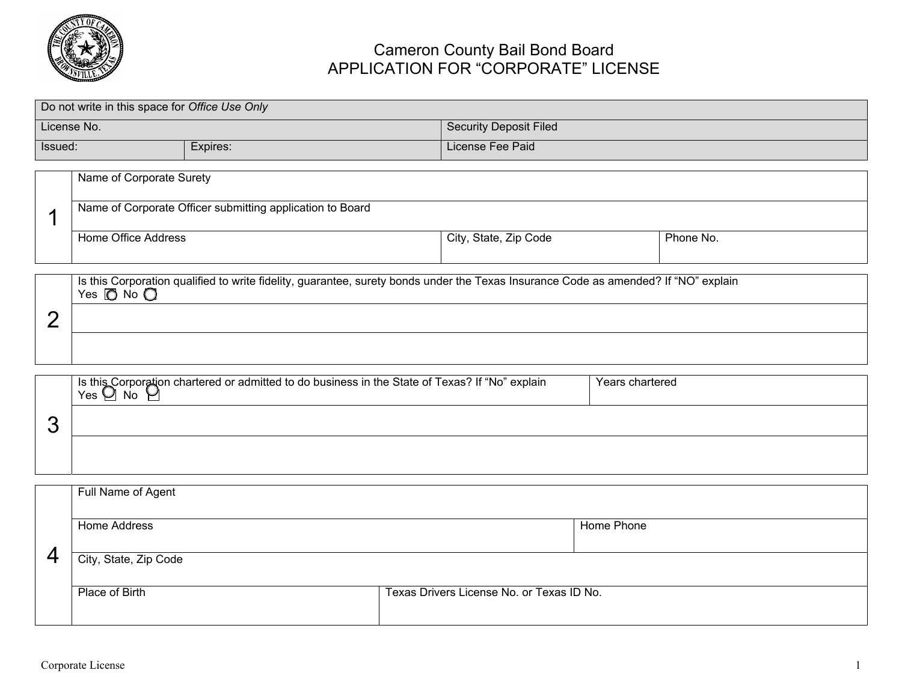

# Cameron County Bail Bond Board APPLICATION FOR "CORPORATE" LICENSE

|         | Do not write in this space for Office Use Only  |                                                           |                                                                                                                                     |           |
|---------|-------------------------------------------------|-----------------------------------------------------------|-------------------------------------------------------------------------------------------------------------------------------------|-----------|
|         | License No.                                     |                                                           | <b>Security Deposit Filed</b>                                                                                                       |           |
| Issued: |                                                 | Expires:                                                  | License Fee Paid                                                                                                                    |           |
|         | Name of Corporate Surety<br>Home Office Address | Name of Corporate Officer submitting application to Board | City, State, Zip Code                                                                                                               | Phone No. |
| n       | Yes $\Box$ No $\Box$                            |                                                           | Is this Corporation qualified to write fidelity, guarantee, surety bonds under the Texas Insurance Code as amended? If "NO" explain |           |

|   | Is this Corporation chartered or admitted to do business in the State of Texas? If "No" explain<br>No.<br>Yes<br>$\tilde{}$ | Years chartered |
|---|-----------------------------------------------------------------------------------------------------------------------------|-----------------|
| ∼ |                                                                                                                             |                 |
|   |                                                                                                                             |                 |

|   | Full Name of Agent    |                                           |            |
|---|-----------------------|-------------------------------------------|------------|
|   | Home Address          |                                           | Home Phone |
|   |                       |                                           |            |
| Δ | City, State, Zip Code |                                           |            |
|   |                       |                                           |            |
|   | Place of Birth        | Texas Drivers License No. or Texas ID No. |            |
|   |                       |                                           |            |
|   |                       |                                           |            |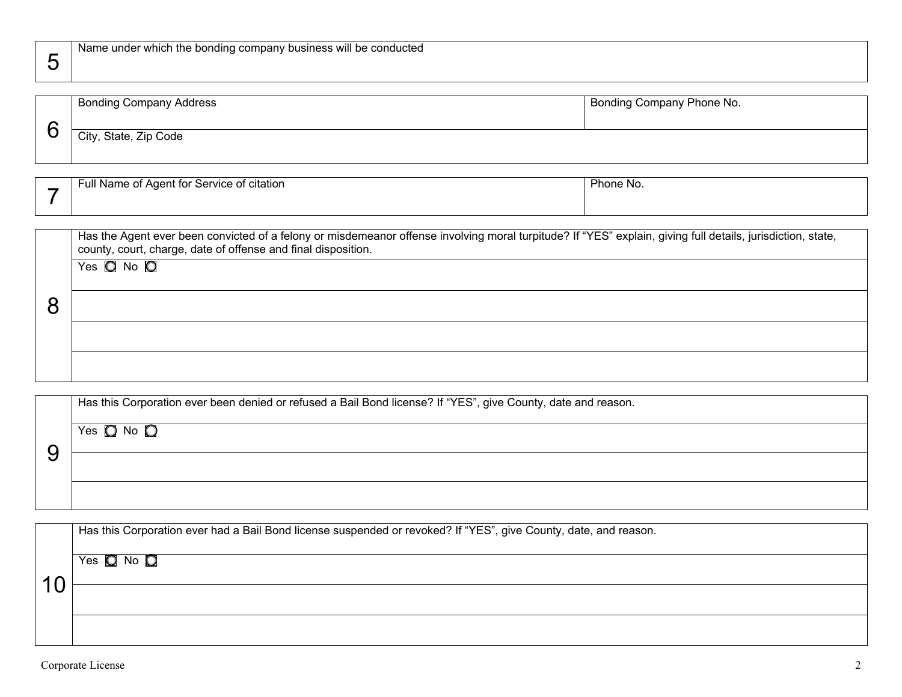| <b>Bonding Company Address</b> | Bonding Company Phone No. |
|--------------------------------|---------------------------|
| City, State, Zip Code          |                           |

| . .<br>.<br>⊧ of citation<br>∵ Service or J<br>Full Name of .<br>i Adent for<br>$\cdot$ | Phone,<br>$\sim$ |
|-----------------------------------------------------------------------------------------|------------------|
|                                                                                         |                  |

| Has the Agent ever been convicted of a felony or misdemeanor offense involving moral turpitude? If "YES" explain, giving full details, jurisdiction, state,<br>county, court, charge, date of offense and final disposition. |
|------------------------------------------------------------------------------------------------------------------------------------------------------------------------------------------------------------------------------|
| Yes $Q$ No $Q$                                                                                                                                                                                                               |
|                                                                                                                                                                                                                              |
|                                                                                                                                                                                                                              |
|                                                                                                                                                                                                                              |
|                                                                                                                                                                                                                              |
|                                                                                                                                                                                                                              |
|                                                                                                                                                                                                                              |

| Has this Corporation ever been denied or refused a Bail Bond license? If "YES", give County, date and reason. |
|---------------------------------------------------------------------------------------------------------------|
| Yes $\Box$ No $\Box$                                                                                          |
|                                                                                                               |
|                                                                                                               |

| Has this Corporation ever had a Bail Bond license suspended or revoked? If "YES", give County, date, and reason. |
|------------------------------------------------------------------------------------------------------------------|
| Yes $\Box$ No $\Box$                                                                                             |
|                                                                                                                  |
|                                                                                                                  |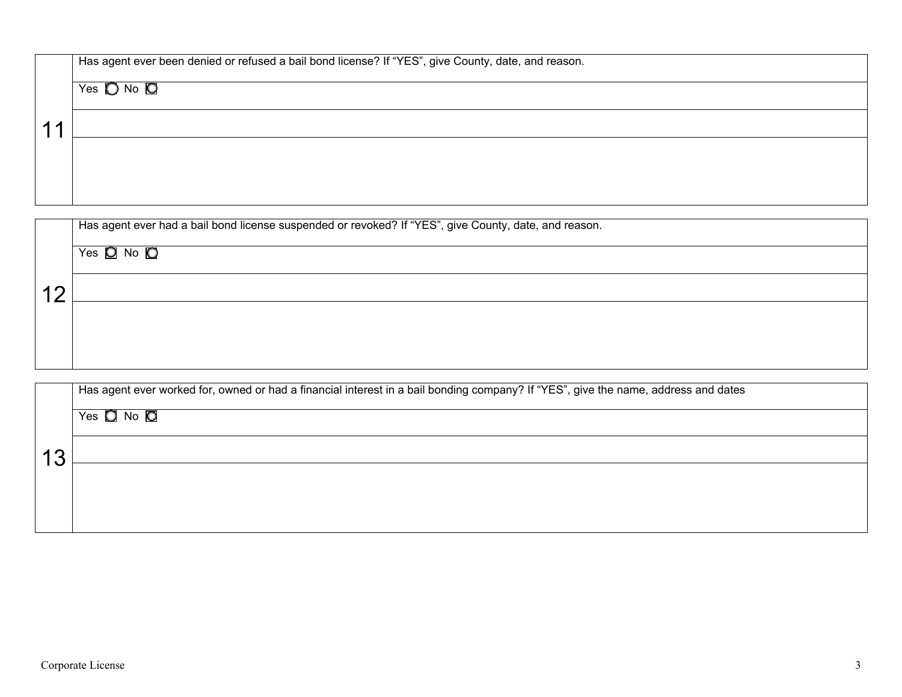| Has agent ever been denied or refused a bail bond license? If "YES", give County, date, and reason. |
|-----------------------------------------------------------------------------------------------------|
| Yes $\bigcirc$ No $\bigcirc$                                                                        |
|                                                                                                     |
|                                                                                                     |
|                                                                                                     |

| Has agent ever had a bail bond license suspended or revoked? If "YES", give County, date, and reason. |
|-------------------------------------------------------------------------------------------------------|
| Yes $\Box$ No $\Box$                                                                                  |
|                                                                                                       |
|                                                                                                       |
|                                                                                                       |
|                                                                                                       |

| Has agent ever worked for, owned or had a financial interest in a bail bonding company? If "YES", give the name, address and dates |
|------------------------------------------------------------------------------------------------------------------------------------|
| Yes $\Box$ No $\Box$                                                                                                               |
|                                                                                                                                    |
|                                                                                                                                    |
|                                                                                                                                    |
|                                                                                                                                    |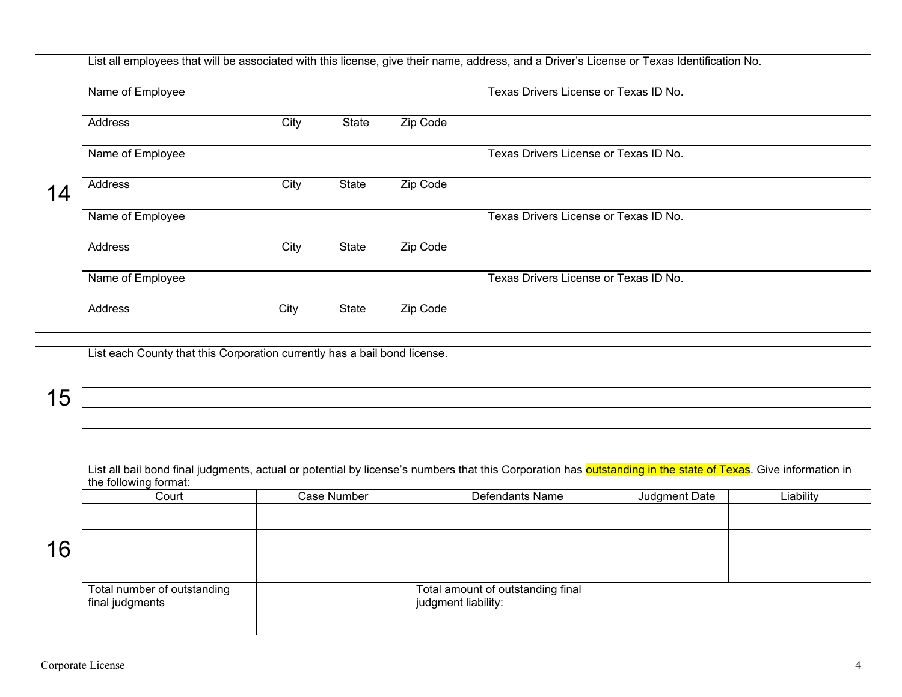|    | List all employees that will be associated with this license, give their name, address, and a Driver's License or Texas Identification No. |      |       |          |                                       |  |  |
|----|--------------------------------------------------------------------------------------------------------------------------------------------|------|-------|----------|---------------------------------------|--|--|
|    | Name of Employee                                                                                                                           |      |       |          | Texas Drivers License or Texas ID No. |  |  |
|    | Address                                                                                                                                    | City | State | Zip Code |                                       |  |  |
|    | Name of Employee                                                                                                                           |      |       |          | Texas Drivers License or Texas ID No. |  |  |
| 14 | Address                                                                                                                                    | City | State | Zip Code |                                       |  |  |
|    | Name of Employee                                                                                                                           |      |       |          | Texas Drivers License or Texas ID No. |  |  |
|    | Address                                                                                                                                    | City | State | Zip Code |                                       |  |  |
|    | Name of Employee                                                                                                                           |      |       |          | Texas Drivers License or Texas ID No. |  |  |
|    | Address                                                                                                                                    | City | State | Zip Code |                                       |  |  |

|  | $^1$ List each County that this Corporation currently has a bail bond license. |  |  |  |  |
|--|--------------------------------------------------------------------------------|--|--|--|--|
|  |                                                                                |  |  |  |  |
|  |                                                                                |  |  |  |  |
|  |                                                                                |  |  |  |  |
|  |                                                                                |  |  |  |  |

|    | List all bail bond final judgments, actual or potential by license's numbers that this Corporation has outstanding in the state of Texas. Give information in<br>the following format: |             |                                                          |               |           |  |  |  |
|----|----------------------------------------------------------------------------------------------------------------------------------------------------------------------------------------|-------------|----------------------------------------------------------|---------------|-----------|--|--|--|
|    | Court                                                                                                                                                                                  | Case Number | Defendants Name                                          | Judgment Date | Liability |  |  |  |
|    |                                                                                                                                                                                        |             |                                                          |               |           |  |  |  |
| 16 |                                                                                                                                                                                        |             |                                                          |               |           |  |  |  |
|    |                                                                                                                                                                                        |             |                                                          |               |           |  |  |  |
|    | Total number of outstanding<br>final judgments                                                                                                                                         |             | Total amount of outstanding final<br>judgment liability: |               |           |  |  |  |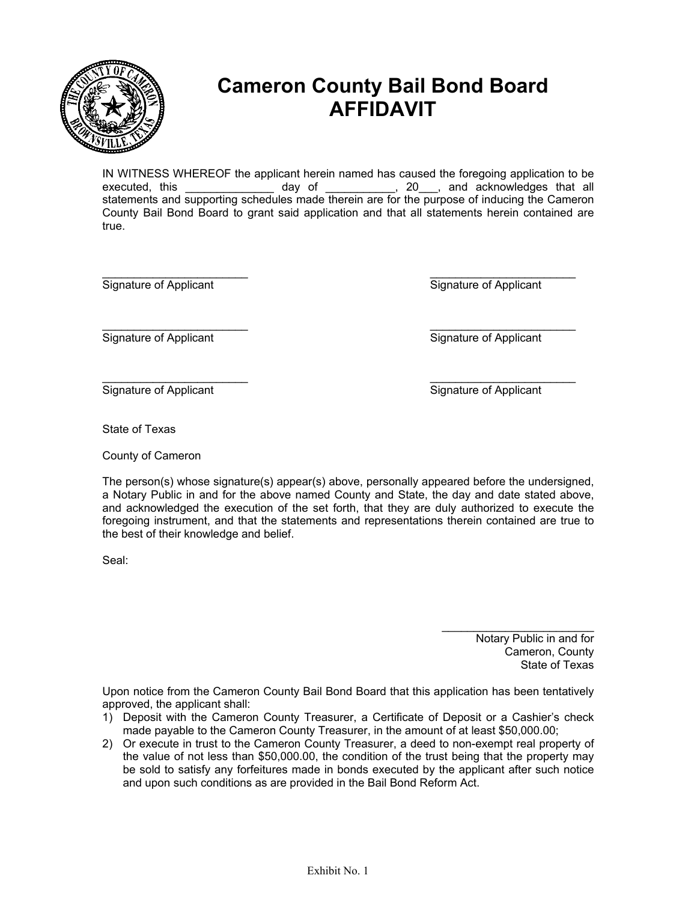

# **Cameron County Bail Bond Board AFFIDAVIT**

IN WITNESS WHEREOF the applicant herein named has caused the foregoing application to be  $\begin{array}{cccc} \text{day} & \text{of} & \text{________} \end{array}$   $\begin{array}{cccc} 20 & \text{and} & \text{acknowledges} & \text{that} & \text{all} \end{array}$ statements and supporting schedules made therein are for the purpose of inducing the Cameron County Bail Bond Board to grant said application and that all statements herein contained are true.

 $\overline{\phantom{a}}$  , and the contract of the contract of the contract of the contract of the contract of the contract of the contract of the contract of the contract of the contract of the contract of the contract of the contrac Signature of Applicant Signature of Applicant

Signature of Applicant Signature of Applicant

Signature of Applicant The Signature of Applicant Signature of Applicant

State of Texas

County of Cameron

The person(s) whose signature(s) appear(s) above, personally appeared before the undersigned, a Notary Public in and for the above named County and State, the day and date stated above, and acknowledged the execution of the set forth, that they are duly authorized to execute the foregoing instrument, and that the statements and representations therein contained are true to the best of their knowledge and belief.

Seal:

\_\_\_\_\_\_\_\_\_\_\_\_\_\_\_\_\_\_\_\_\_\_\_\_ Notary Public in and for Cameron, County State of Texas

Upon notice from the Cameron County Bail Bond Board that this application has been tentatively approved, the applicant shall:

- 1) Deposit with the Cameron County Treasurer, a Certificate of Deposit or a Cashier's check made payable to the Cameron County Treasurer, in the amount of at least \$50,000.00;
- 2) Or execute in trust to the Cameron County Treasurer, a deed to non-exempt real property of the value of not less than \$50,000.00, the condition of the trust being that the property may be sold to satisfy any forfeitures made in bonds executed by the applicant after such notice and upon such conditions as are provided in the Bail Bond Reform Act.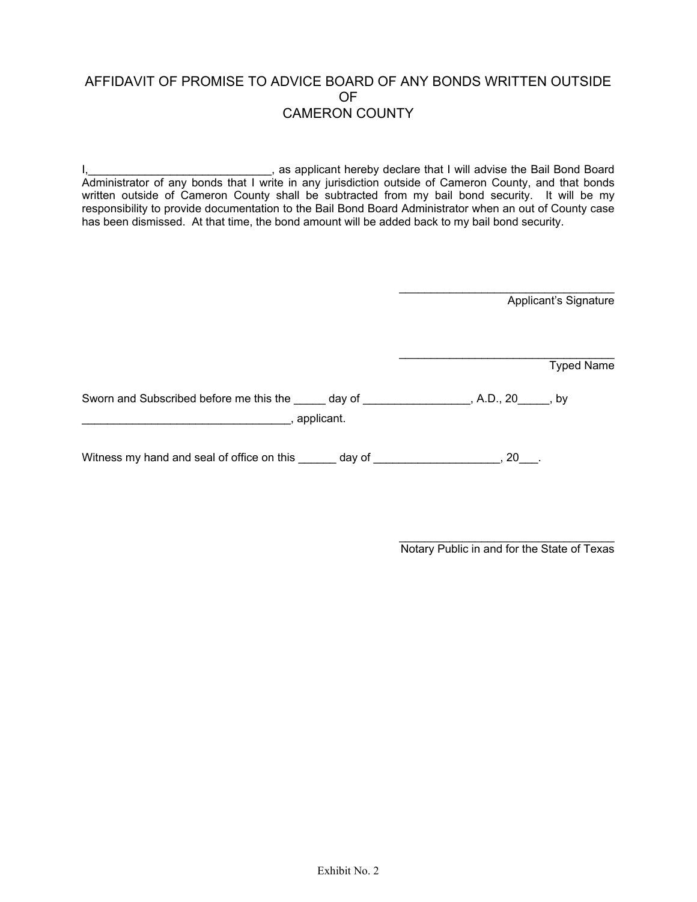## AFFIDAVIT OF PROMISE TO ADVICE BOARD OF ANY BONDS WRITTEN OUTSIDE OF CAMERON COUNTY

I, **I** as applicant hereby declare that I will advise the Bail Bond Board Administrator of any bonds that I write in any jurisdiction outside of Cameron County, and that bonds written outside of Cameron County shall be subtracted from my bail bond security. It will be my responsibility to provide documentation to the Bail Bond Board Administrator when an out of County case has been dismissed. At that time, the bond amount will be added back to my bail bond security.

Applicant's Signature

**Typed Name** 

Sworn and Subscribed before me this the \_\_\_\_\_ day of \_\_\_\_\_\_\_\_\_\_\_\_\_\_\_\_, A.D., 20\_\_\_\_\_, by \_\_\_\_\_\_\_\_\_\_\_\_\_\_\_\_\_\_\_\_\_\_\_\_\_\_\_\_\_\_\_\_\_, applicant.

Witness my hand and seal of office on this day of the state of the state of the state of the state of the state of the state of the state of the state of the state of the state of the state of the state of the state of the

\_\_\_\_\_\_\_\_\_\_\_\_\_\_\_\_\_\_\_\_\_\_\_\_\_\_\_\_\_\_\_\_\_\_ Notary Public in and for the State of Texas